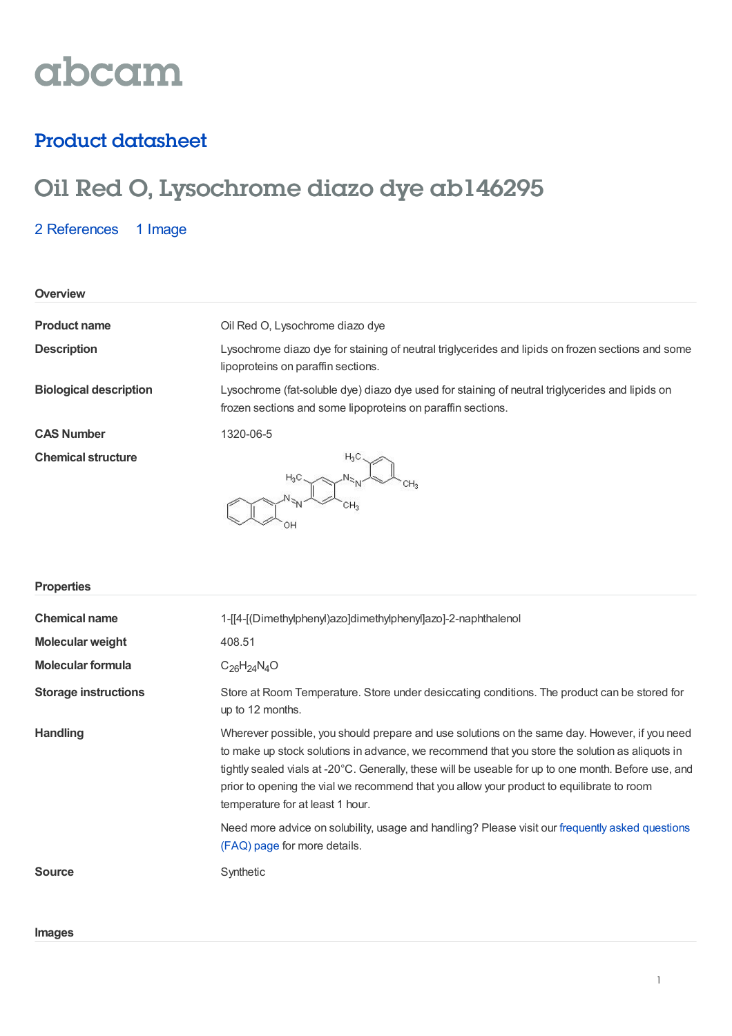# abcam

### Product datasheet

## Oil Red O, Lysochrome diazo dye ab146295

2 [References](https://www.abcam.com/oil-red-o-lysochrome-diazo-dye-ab146295.html#description_references) 1 Image

| Overview                      |                                                                                                                                                                |
|-------------------------------|----------------------------------------------------------------------------------------------------------------------------------------------------------------|
| <b>Product name</b>           | Oil Red O, Lysochrome diazo dye                                                                                                                                |
| <b>Description</b>            | Lysochrome diazo dye for staining of neutral triglycerides and lipids on frozen sections and some<br>lipoproteins on paraffin sections.                        |
| <b>Biological description</b> | Lysochrome (fat-soluble dye) diazo dye used for staining of neutral triglycerides and lipids on<br>frozen sections and some lipoproteins on paraffin sections. |
| <b>CAS Number</b>             | 1320-06-5                                                                                                                                                      |
| <b>Chemical structure</b>     | $H_3C$                                                                                                                                                         |

| <b>Properties</b>           |                                                                                                                                                                                                                                                                                                                                                                                                                                          |
|-----------------------------|------------------------------------------------------------------------------------------------------------------------------------------------------------------------------------------------------------------------------------------------------------------------------------------------------------------------------------------------------------------------------------------------------------------------------------------|
| <b>Chemical name</b>        | 1-[[4-[(Dimethylphenyl)azo]dimethylphenyl]azo]-2-naphthalenol                                                                                                                                                                                                                                                                                                                                                                            |
| <b>Molecular weight</b>     | 408.51                                                                                                                                                                                                                                                                                                                                                                                                                                   |
| <b>Molecular formula</b>    | $C_{26}H_{24}N_{4}O$                                                                                                                                                                                                                                                                                                                                                                                                                     |
| <b>Storage instructions</b> | Store at Room Temperature. Store under desiccating conditions. The product can be stored for<br>up to 12 months.                                                                                                                                                                                                                                                                                                                         |
| <b>Handling</b>             | Wherever possible, you should prepare and use solutions on the same day. However, if you need<br>to make up stock solutions in advance, we recommend that you store the solution as aliquots in<br>tightly sealed vials at -20°C. Generally, these will be useable for up to one month. Before use, and<br>prior to opening the vial we recommend that you allow your product to equilibrate to room<br>temperature for at least 1 hour. |
|                             | Need more advice on solubility, usage and handling? Please visit our frequently asked questions<br>(FAQ) page for more details.                                                                                                                                                                                                                                                                                                          |
| <b>Source</b>               | Synthetic                                                                                                                                                                                                                                                                                                                                                                                                                                |

#### **Images**